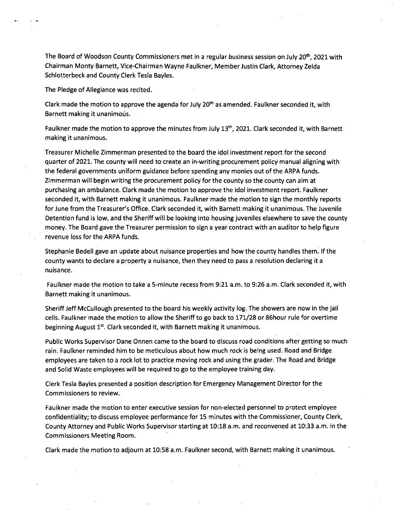The Board of Woodson County Commissioners met in a regular business session on July 20<sup>th</sup>, 2021 with Chairman Monty Barnett, Vice-Chairman Wayne Faulkner, Member Justin Clark, Attorney Zelda Schlotterbeck and County Clerk Tesla Bayles.

The Pledge of Allegiance was recited.

Clark made the motion to approve the agenda for July  $20<sup>th</sup>$  as amended. Faulkner seconded it, with Barnett making it unanimous.

Faulkner made the motion to approve the minutes from July 13<sup>th</sup>, 2021. Clark seconded it, with Barnett making it unanimous.

Treasurer Michelle Zimmerman presented to the board the idol investment report for the second quarter of 2021. The county will need to create an in-writing procurement policy manual aligning with the federal governments uniform guidance before spending any monies out of the ARPA funds. Zimmerman will begin writing the procurement policy for the county so the county can aim at purchasing an ambulance. Clark made the motion to approve the idol investment report. Faulkner seconded it, with Barnett making it unanimous. Faulkner made the motion to sign the monthly reports for June from the Treasurer's Office. Clark seconded it, with Barnett making it unanimous. The Juvenile Detention fund is low, and the Sheriff will be looking into housing juveniles elsewhere to save the county money. The Board gave the Treasurer permission to sign a year contract with an auditor to help figure revenue loss for the ARPA funds.

Stephanie Bedell gave an update about nuisance properties and how the county handles them. If the county wants to declare a property a nuisance, then they need to pass a resolution declaring it a nuisance.

Faulkner made the motion to take a 5-minute recess from 9:21 a.m. to 9:26 a.m. Clark seconded it, with Barnett making it unanimous.

Sheriff Jeff McCullough presented to the board his weekly activity log. The showers are now in the jail cells. Faulkner made the motion to allow the Sheriff to go back to 171/28 or 86hour rule for overtime beginning August 1<sup>st</sup>. Clark seconded it, with Barnett making it unanimous.

Public Works Supervisor Dane Onnen came to the board to discuss road conditions after getting so much rain. Faulkner reminded him to be meticulous about how much rock is being used. Road and Bridge employees are taken to a rock lot to practice moving rock and using the grader. The Road and Bridge and Solid Waste employees will be required to go to the employee training day.

Clerk Tesla Bayles presented a position description for Emergency Management Director for the Commissioners to review.

Faulkner made the motion to enter executive session for non-elected personnel to protect employee confidentiality; to discuss employee performance for 15 minutes with the Commissioner, County Clerk, County Attorney and Public Works Supervisor starting at 10:18 a.m. and reconvened at 10:33 a.m. in the Commissioners Meeting Room.

Clark made the motion to adjourn at 10:58 a.m. Faulkner second, with Barnett making it unanimous.